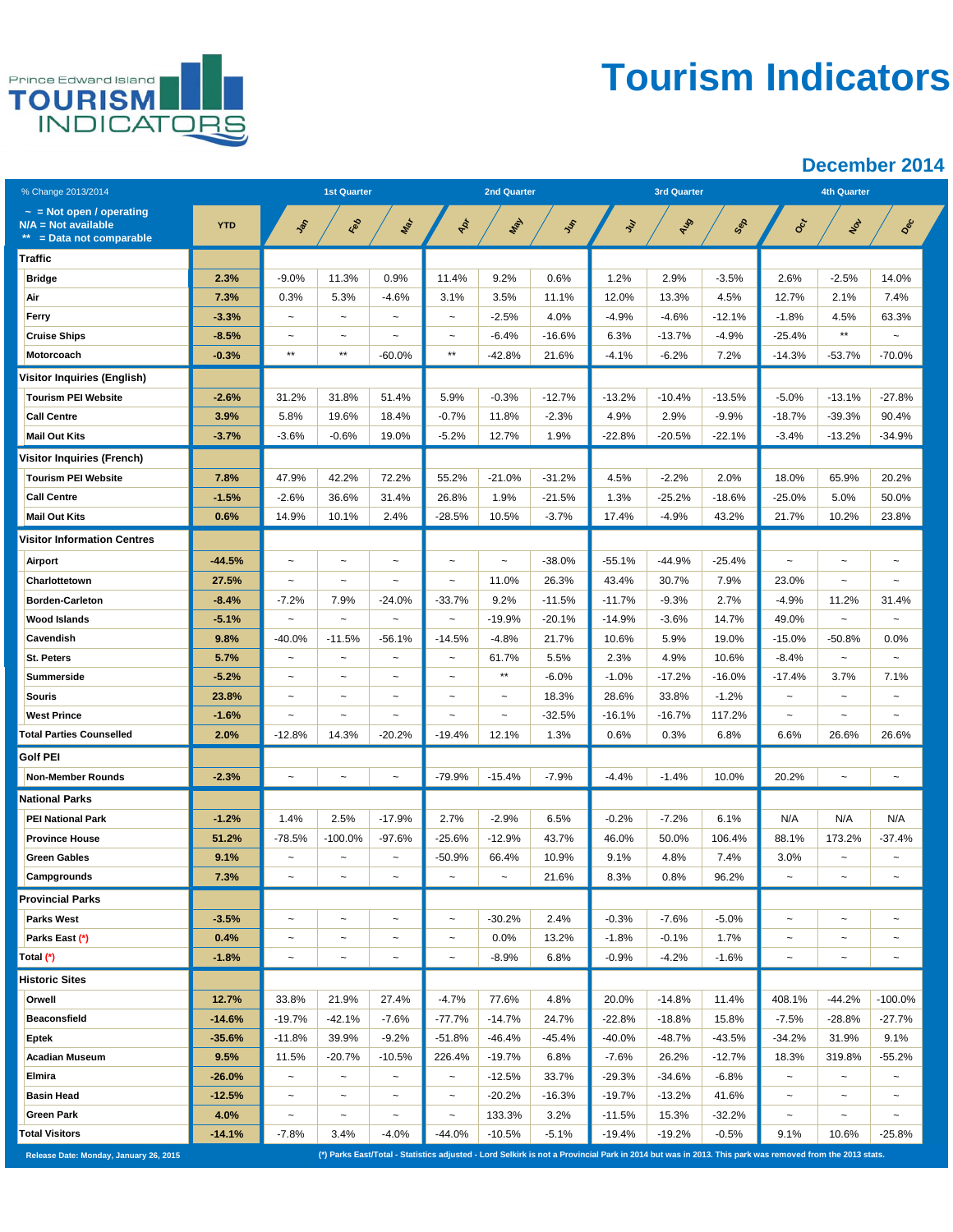

# **Tourism Indicators**

| % Change 2013/2014                                                                |            | <b>1st Quarter</b>        |                           |                           | <b>2nd Quarter</b>    |                       |          |          | <b>3rd Quarter</b> |          | <b>4th Quarter</b>                                                                                                                                     |                           |                           |  |
|-----------------------------------------------------------------------------------|------------|---------------------------|---------------------------|---------------------------|-----------------------|-----------------------|----------|----------|--------------------|----------|--------------------------------------------------------------------------------------------------------------------------------------------------------|---------------------------|---------------------------|--|
| $\sim$ = Not open / operating<br>$N/A = Not available$<br>$=$ Data not comparable | <b>YTD</b> | Jan                       | Red                       | Mar                       | څخ                    | Max                   | Jen      | ş        | Aug                | Sep      | $O_{c}$                                                                                                                                                | Not                       | Dec                       |  |
| Traffic                                                                           |            |                           |                           |                           |                       |                       |          |          |                    |          |                                                                                                                                                        |                           |                           |  |
| <b>Bridge</b>                                                                     | 2.3%       | $-9.0%$                   | 11.3%                     | 0.9%                      | 11.4%                 | 9.2%                  | 0.6%     | 1.2%     | 2.9%               | $-3.5%$  | 2.6%                                                                                                                                                   | $-2.5%$                   | 14.0%                     |  |
| Air                                                                               | 7.3%       | 0.3%                      | 5.3%                      | $-4.6%$                   | 3.1%                  | 3.5%                  | 11.1%    | 12.0%    | 13.3%              | 4.5%     | 12.7%                                                                                                                                                  | 2.1%                      | 7.4%                      |  |
| Ferry                                                                             | $-3.3%$    | $\tilde{}$                | $\tilde{}$                | $\tilde{\phantom{a}}$     | $\tilde{\phantom{a}}$ | $-2.5%$               | 4.0%     | $-4.9%$  | $-4.6%$            | $-12.1%$ | $-1.8%$                                                                                                                                                | 4.5%                      | 63.3%                     |  |
| <b>Cruise Ships</b>                                                               | $-8.5%$    | $\sim$                    | $\sim$                    | $\sim$                    | $\tilde{\phantom{a}}$ | $-6.4%$               | $-16.6%$ | 6.3%     | $-13.7%$           | $-4.9%$  | -25.4%                                                                                                                                                 | $\star\star$              |                           |  |
| Motorcoach                                                                        | $-0.3%$    | $^{\star\star}$           | $^{\star\star}$           | $-60.0%$                  | $\star\star$          | $-42.8%$              | 21.6%    | $-4.1%$  | $-6.2%$            | 7.2%     | $-14.3%$                                                                                                                                               | $-53.7%$                  | $-70.0%$                  |  |
| <b>Visitor Inquiries (English)</b>                                                |            |                           |                           |                           |                       |                       |          |          |                    |          |                                                                                                                                                        |                           |                           |  |
| <b>Tourism PEI Website</b>                                                        | $-2.6%$    | 31.2%                     | 31.8%                     | 51.4%                     | 5.9%                  | $-0.3%$               | $-12.7%$ | $-13.2%$ | $-10.4%$           | $-13.5%$ | $-5.0%$                                                                                                                                                | $-13.1%$                  | $-27.8%$                  |  |
| <b>Call Centre</b>                                                                | 3.9%       | 5.8%                      | 19.6%                     | 18.4%                     | $-0.7%$               | 11.8%                 | $-2.3%$  | 4.9%     | 2.9%               | $-9.9%$  | $-18.7%$                                                                                                                                               | $-39.3%$                  | 90.4%                     |  |
| <b>Mail Out Kits</b>                                                              | $-3.7%$    | $-3.6%$                   | $-0.6%$                   | 19.0%                     | $-5.2%$               | 12.7%                 | 1.9%     | $-22.8%$ | $-20.5%$           | $-22.1%$ | $-3.4%$                                                                                                                                                | $-13.2%$                  | $-34.9%$                  |  |
| <b>Visitor Inquiries (French)</b>                                                 |            |                           |                           |                           |                       |                       |          |          |                    |          |                                                                                                                                                        |                           |                           |  |
| <b>Tourism PEI Website</b>                                                        | 7.8%       | 47.9%                     | 42.2%                     | 72.2%                     | 55.2%                 | $-21.0%$              | $-31.2%$ | 4.5%     | $-2.2%$            | 2.0%     | 18.0%                                                                                                                                                  | 65.9%                     | 20.2%                     |  |
| <b>Call Centre</b>                                                                | $-1.5%$    | $-2.6%$                   | 36.6%                     | 31.4%                     | 26.8%                 | 1.9%                  | $-21.5%$ | 1.3%     | $-25.2%$           | $-18.6%$ | $-25.0%$                                                                                                                                               | 5.0%                      | 50.0%                     |  |
| <b>Mail Out Kits</b>                                                              | 0.6%       | 14.9%                     | 10.1%                     | 2.4%                      | $-28.5%$              | 10.5%                 | $-3.7%$  | 17.4%    | $-4.9%$            | 43.2%    | 21.7%                                                                                                                                                  | 10.2%                     | 23.8%                     |  |
| <b>Visitor Information Centres</b>                                                |            |                           |                           |                           |                       |                       |          |          |                    |          |                                                                                                                                                        |                           |                           |  |
| Airport                                                                           | -44.5%     | $\overline{ }$            | $\ddot{ }$                | $\tilde{\phantom{a}}$     | $\sim$                | $\sim$                | $-38.0%$ | $-55.1%$ | $-44.9%$           | $-25.4%$ |                                                                                                                                                        |                           |                           |  |
| Charlottetown                                                                     | 27.5%      | $\tilde{}$                | $\tilde{}$                | $\tilde{\phantom{a}}$     | $\tilde{}$            | 11.0%                 | 26.3%    | 43.4%    | 30.7%              | 7.9%     | 23.0%                                                                                                                                                  | $\tilde{}$                | $\sim$                    |  |
| <b>Borden-Carleton</b>                                                            | $-8.4%$    | $-7.2%$                   | 7.9%                      | $-24.0%$                  | $-33.7%$              | 9.2%                  | $-11.5%$ | $-11.7%$ | $-9.3%$            | 2.7%     | $-4.9%$                                                                                                                                                | 11.2%                     | 31.4%                     |  |
| <b>Wood Islands</b>                                                               | $-5.1%$    | $\tilde{}$                | $\tilde{}$                | $\tilde{\phantom{a}}$     | $\tilde{}$            | $-19.9%$              | $-20.1%$ | $-14.9%$ | $-3.6%$            | 14.7%    | 49.0%                                                                                                                                                  | $\tilde{}$                |                           |  |
| Cavendish                                                                         | 9.8%       | $-40.0%$                  | $-11.5%$                  | $-56.1%$                  | $-14.5%$              | $-4.8%$               | 21.7%    | 10.6%    | 5.9%               | 19.0%    | $-15.0%$                                                                                                                                               | $-50.8%$                  | 0.0%                      |  |
| St. Peters                                                                        | 5.7%       | $\tilde{}$                | $\tilde{}$                | $\tilde{\phantom{a}}$     | $\tilde{}$            | 61.7%                 | 5.5%     | 2.3%     | 4.9%               | 10.6%    | $-8.4%$                                                                                                                                                | $\widetilde{\phantom{m}}$ | $\tilde{\phantom{a}}$     |  |
| Summerside                                                                        | $-5.2%$    | $\tilde{}$                | $\tilde{}$                | $\tilde{\phantom{a}}$     | $\tilde{\phantom{a}}$ | $***$                 | $-6.0%$  | $-1.0%$  | $-17.2%$           | $-16.0%$ | $-17.4%$                                                                                                                                               | 3.7%                      | 7.1%                      |  |
| <b>Souris</b>                                                                     | 23.8%      | $\tilde{}$                | $\tilde{}$                | $\tilde{\phantom{a}}$     | $\tilde{}$            | $\tilde{\phantom{a}}$ | 18.3%    | 28.6%    | 33.8%              | $-1.2%$  | $\tilde{\phantom{a}}$                                                                                                                                  | $\sim$                    | $\tilde{\phantom{a}}$     |  |
| <b>West Prince</b>                                                                | $-1.6%$    | $\tilde{ }$               | $\tilde{}$                | $\tilde{}$                | $\tilde{\phantom{a}}$ | $\tilde{}$            | $-32.5%$ | $-16.1%$ | $-16.7%$           | 117.2%   | $\tilde{}$                                                                                                                                             | $\tilde{}$                | $\tilde{\phantom{a}}$     |  |
| <b>Total Parties Counselled</b>                                                   | 2.0%       | $-12.8%$                  | 14.3%                     | $-20.2%$                  | $-19.4%$              | 12.1%                 | 1.3%     | 0.6%     | 0.3%               | 6.8%     | 6.6%                                                                                                                                                   | 26.6%                     | 26.6%                     |  |
| <b>Golf PEI</b>                                                                   |            |                           |                           |                           |                       |                       |          |          |                    |          |                                                                                                                                                        |                           |                           |  |
| <b>Non-Member Rounds</b>                                                          | $-2.3%$    | $\tilde{}$                | $\tilde{}$                | $\tilde{}$                | $-79.9%$              | $-15.4%$              | $-7.9%$  | $-4.4%$  | $-1.4%$            | 10.0%    | 20.2%                                                                                                                                                  | $\tilde{\phantom{a}}$     | $\tilde{}$                |  |
| <b>National Parks</b>                                                             |            |                           |                           |                           |                       |                       |          |          |                    |          |                                                                                                                                                        |                           |                           |  |
| <b>PEI National Park</b>                                                          | $-1.2%$    | 1.4%                      | 2.5%                      | $-17.9%$                  | 2.7%                  | $-2.9%$               | 6.5%     | $-0.2%$  | $-7.2%$            | 6.1%     | N/A                                                                                                                                                    | N/A                       | N/A                       |  |
| <b>Province House</b>                                                             | 51.2%      | $-78.5%$                  | $-100.0%$                 | $-97.6%$                  | $-25.6%$              | $-12.9%$              | 43.7%    | 46.0%    | 50.0%              | 106.4%   | 88.1%                                                                                                                                                  | 173.2%                    | $-37.4%$                  |  |
| <b>Green Gables</b>                                                               | 9.1%       | $\tilde{}$                | $\widetilde{\phantom{m}}$ | $\tilde{\phantom{a}}$     | $-50.9%$              | 66.4%                 | 10.9%    | 9.1%     | 4.8%               | 7.4%     | 3.0%                                                                                                                                                   | $\tilde{}$                | $\widetilde{\phantom{m}}$ |  |
| Campgrounds                                                                       | 7.3%       |                           |                           |                           |                       |                       | 21.6%    | 8.3%     | 0.8%               | 96.2%    |                                                                                                                                                        |                           |                           |  |
| <b>Provincial Parks</b>                                                           |            |                           |                           |                           |                       |                       |          |          |                    |          |                                                                                                                                                        |                           |                           |  |
| <b>Parks West</b>                                                                 | $-3.5%$    | $\widetilde{\phantom{m}}$ | $\tilde{}$                | $\tilde{\phantom{a}}$     | $\tilde{\phantom{a}}$ | $-30.2%$              | 2.4%     | $-0.3%$  | $-7.6%$            | $-5.0%$  | $\tilde{\phantom{a}}$                                                                                                                                  | $\tilde{}$                | $\tilde{}$                |  |
| Parks East (*)                                                                    | 0.4%       | $\tilde{}$                | $\tilde{\phantom{a}}$     | $\tilde{\phantom{a}}$     | $\tilde{}$            | 0.0%                  | 13.2%    | $-1.8%$  | $-0.1%$            | 1.7%     | $\tilde{}$                                                                                                                                             | $\tilde{}$                | $\widetilde{\phantom{m}}$ |  |
| Total (*)                                                                         | $-1.8%$    | $\tilde{}$                | $\sim$                    | $\tilde{}$                | $\tilde{}$            | $-8.9%$               | 6.8%     | $-0.9%$  | $-4.2%$            | $-1.6%$  | $\tilde{}$                                                                                                                                             | $\tilde{\phantom{a}}$     |                           |  |
| <b>Historic Sites</b>                                                             |            |                           |                           |                           |                       |                       |          |          |                    |          |                                                                                                                                                        |                           |                           |  |
| Orwell                                                                            | 12.7%      | 33.8%                     | 21.9%                     | 27.4%                     | $-4.7%$               | 77.6%                 | 4.8%     | 20.0%    | $-14.8%$           | 11.4%    | 408.1%                                                                                                                                                 | $-44.2%$                  | $-100.0%$                 |  |
| <b>Beaconsfield</b>                                                               | $-14.6%$   | $-19.7%$                  | $-42.1%$                  | $-7.6%$                   | $-77.7%$              | $-14.7%$              | 24.7%    | $-22.8%$ | $-18.8%$           | 15.8%    | $-7.5%$                                                                                                                                                | $-28.8%$                  | $-27.7%$                  |  |
| Eptek                                                                             | $-35.6%$   | $-11.8%$                  | 39.9%                     | $-9.2%$                   | $-51.8%$              | $-46.4%$              | -45.4%   | $-40.0%$ | $-48.7%$           | $-43.5%$ | $-34.2%$                                                                                                                                               | 31.9%                     | 9.1%                      |  |
| <b>Acadian Museum</b>                                                             | 9.5%       | 11.5%                     | $-20.7%$                  | $-10.5%$                  | 226.4%                | $-19.7%$              | 6.8%     | $-7.6%$  | 26.2%              | $-12.7%$ | 18.3%                                                                                                                                                  | 319.8%                    | $-55.2%$                  |  |
| Elmira                                                                            | $-26.0%$   | $\tilde{}$                | $\widetilde{\phantom{m}}$ | $\tilde{}$                | $\tilde{}$            | $-12.5%$              | 33.7%    | $-29.3%$ | $-34.6%$           | $-6.8%$  | $\tilde{}$                                                                                                                                             | $\tilde{\phantom{a}}$     | $\tilde{\phantom{a}}$     |  |
| <b>Basin Head</b>                                                                 | $-12.5%$   | $\tilde{}$                | $\widetilde{\phantom{m}}$ | $\widetilde{\phantom{m}}$ | $\tilde{}$            | $-20.2%$              | $-16.3%$ | $-19.7%$ | $-13.2%$           | 41.6%    | $\tilde{}$                                                                                                                                             | $\widetilde{\phantom{m}}$ | $\widetilde{\phantom{m}}$ |  |
| <b>Green Park</b>                                                                 | 4.0%       | $\widetilde{\phantom{m}}$ | $\widetilde{\phantom{m}}$ | $\tilde{}$                | $\tilde{}$            | 133.3%                | 3.2%     | $-11.5%$ | 15.3%              | $-32.2%$ | $\tilde{\phantom{a}}$                                                                                                                                  | $\tilde{\phantom{a}}$     | $\thicksim$               |  |
| <b>Total Visitors</b>                                                             | $-14.1%$   | $-7.8%$                   | 3.4%                      | $-4.0%$                   | $-44.0%$              | $-10.5%$              | $-5.1%$  | $-19.4%$ | $-19.2%$           | $-0.5%$  | 9.1%                                                                                                                                                   | 10.6%                     | $-25.8%$                  |  |
| Release Date: Monday, January 26, 2015                                            |            |                           |                           |                           |                       |                       |          |          |                    |          | (*) Parks East/Total - Statistics adjusted - Lord Selkirk is not a Provincial Park in 2014 but was in 2013. This park was removed from the 2013 stats. |                           |                           |  |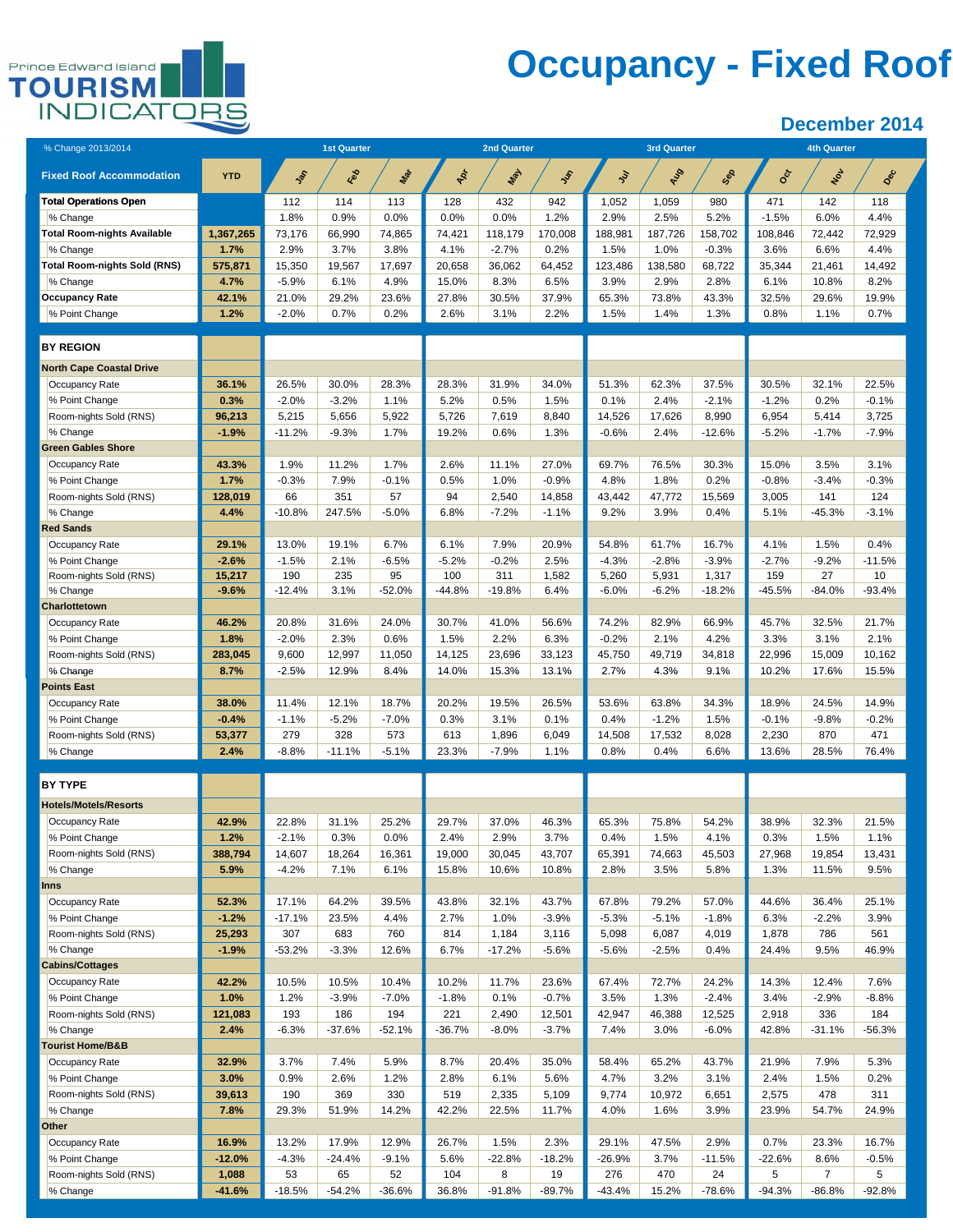

# **Occupancy - Fixed Roof**

| % Change 2013/2014                       |               | <b>1st Quarter</b>  |                  |                  |                  | <b>2nd Quarter</b> |                  |                       | <b>3rd Quarter</b> |                  | <b>4th Quarter</b> |                  |                 |  |
|------------------------------------------|---------------|---------------------|------------------|------------------|------------------|--------------------|------------------|-----------------------|--------------------|------------------|--------------------|------------------|-----------------|--|
| <b>Fixed Roof Accommodation</b>          | <b>YTD</b>    | $\hat{\mathcal{E}}$ | Red              | <b>May</b>       | ÷                | Max                | Jer              | $\tilde{\mathcal{S}}$ | AUD                | Sep              | oc                 | ٷ                | Dec             |  |
| <b>Total Operations Open</b>             |               | 112                 | 114              | 113              | 128              | 432                | 942              | 1,052                 | 1,059              | 980              | 471                | 142              | 118             |  |
| % Change                                 |               | 1.8%                | 0.9%             | 0.0%             | 0.0%             | 0.0%               | 1.2%             | 2.9%                  | 2.5%               | 5.2%             | $-1.5%$            | 6.0%             | 4.4%            |  |
| <b>Total Room-nights Available</b>       | 1,367,265     | 73,176              | 66,990           | 74,865           | 74,421           | 118,179            | 170,008          | 188,981               | 187,726            | 158,702          | 108.846            | 72,442           | 72,929          |  |
| % Change                                 | 1.7%          | 2.9%                | 3.7%             | 3.8%             | 4.1%             | $-2.7%$            | 0.2%             | 1.5%                  | 1.0%               | $-0.3%$          | 3.6%               | 6.6%             | 4.4%            |  |
| <b>Total Room-nights Sold (RNS)</b>      | 575,871       | 15,350              | 19,567           | 17,697           | 20,658           | 36,062             | 64,452           | 123,486               | 138,580            | 68,722           | 35,344             | 21,461           | 14,492          |  |
| % Change                                 | 4.7%          | $-5.9%$             | 6.1%             | 4.9%             | 15.0%            | 8.3%               | 6.5%             | 3.9%                  | 2.9%               | 2.8%             | 6.1%               | 10.8%            | 8.2%            |  |
| <b>Occupancy Rate</b>                    | 42.1%         | 21.0%               | 29.2%            | 23.6%            | 27.8%            | 30.5%              | 37.9%            | 65.3%                 | 73.8%              | 43.3%            | 32.5%              | 29.6%            | 19.9%           |  |
| % Point Change                           | 1.2%          | $-2.0%$             | 0.7%             | 0.2%             | 2.6%             | 3.1%               | 2.2%             | 1.5%                  | 1.4%               | 1.3%             | 0.8%               | 1.1%             | 0.7%            |  |
| <b>BY REGION</b>                         |               |                     |                  |                  |                  |                    |                  |                       |                    |                  |                    |                  |                 |  |
| <b>North Cape Coastal Drive</b>          |               |                     |                  |                  |                  |                    |                  |                       |                    |                  |                    |                  |                 |  |
| Occupancy Rate                           | 36.1%         | 26.5%               | 30.0%            | 28.3%            | 28.3%            | 31.9%              | 34.0%            | 51.3%                 | 62.3%              | 37.5%            | 30.5%              | 32.1%            | 22.5%           |  |
| % Point Change                           | 0.3%          | $-2.0%$             | $-3.2%$          | 1.1%             | 5.2%             | 0.5%               | 1.5%             | 0.1%                  | 2.4%               | $-2.1%$          | $-1.2%$            | 0.2%             | $-0.1%$         |  |
| Room-nights Sold (RNS)                   | 96,213        | 5,215               | 5,656            | 5,922            | 5,726            | 7,619              | 8,840            | 14,526                | 17,626             | 8,990            | 6,954              | 5,414            | 3,725           |  |
| % Change                                 | $-1.9%$       | $-11.2%$            | $-9.3%$          | 1.7%             | 19.2%            | 0.6%               | 1.3%             | $-0.6%$               | 2.4%               | $-12.6%$         | $-5.2%$            | $-1.7%$          | $-7.9%$         |  |
| <b>Green Gables Shore</b>                |               |                     |                  |                  |                  |                    |                  |                       |                    |                  |                    |                  | 3.1%            |  |
| Occupancy Rate                           | 43.3%<br>1.7% | 1.9%<br>$-0.3%$     | 11.2%<br>7.9%    | 1.7%<br>$-0.1%$  | 2.6%<br>0.5%     | 11.1%<br>1.0%      | 27.0%<br>$-0.9%$ | 69.7%<br>4.8%         | 76.5%<br>1.8%      | 30.3%<br>0.2%    | 15.0%<br>$-0.8%$   | 3.5%<br>$-3.4%$  | $-0.3%$         |  |
| % Point Change<br>Room-nights Sold (RNS) | 128,019       | 66                  | 351              | 57               | 94               | 2,540              | 14,858           | 43,442                | 47,772             | 15,569           | 3,005              | 141              | 124             |  |
| % Change                                 | 4.4%          | $-10.8%$            | 247.5%           | $-5.0%$          | 6.8%             | $-7.2%$            | $-1.1%$          | 9.2%                  | 3.9%               | 0.4%             | 5.1%               | $-45.3%$         | $-3.1%$         |  |
| <b>Red Sands</b>                         |               |                     |                  |                  |                  |                    |                  |                       |                    |                  |                    |                  |                 |  |
| Occupancy Rate                           | 29.1%         | 13.0%               | 19.1%            | 6.7%             | 6.1%             | 7.9%               | 20.9%            | 54.8%                 | 61.7%              | 16.7%            | 4.1%               | 1.5%             | 0.4%            |  |
| % Point Change                           | $-2.6%$       | $-1.5%$             | 2.1%             | $-6.5%$          | $-5.2%$          | $-0.2%$            | 2.5%             | $-4.3%$               | $-2.8%$            | $-3.9%$          | $-2.7%$            | $-9.2%$          | $-11.5%$        |  |
| Room-nights Sold (RNS)                   | 15,217        | 190                 | 235              | 95               | 100              | 311                | 1,582            | 5,260                 | 5,931              | 1,317            | 159                | 27               | 10              |  |
| % Change                                 | $-9.6%$       | $-12.4%$            | 3.1%             | $-52.0%$         | $-44.8%$         | $-19.8%$           | 6.4%             | $-6.0\%$              | $-6.2%$            | $-18.2%$         | $-45.5%$           | $-84.0%$         | $-93.4%$        |  |
| Charlottetown                            |               |                     |                  |                  |                  |                    |                  |                       |                    |                  |                    |                  |                 |  |
| Occupancy Rate                           | 46.2%         | 20.8%               | 31.6%            | 24.0%            | 30.7%            | 41.0%              | 56.6%            | 74.2%                 | 82.9%              | 66.9%            | 45.7%              | 32.5%            | 21.7%           |  |
| % Point Change                           | 1.8%          | $-2.0%$             | 2.3%             | 0.6%             | 1.5%             | 2.2%               | 6.3%             | $-0.2%$               | 2.1%               | 4.2%             | 3.3%               | 3.1%             | 2.1%            |  |
| Room-nights Sold (RNS)                   | 283,045       | 9,600               | 12,997           | 11,050           | 14,125           | 23,696             | 33,123           | 45,750                | 49,719             | 34,818           | 22,996             | 15,009           | 10,162          |  |
| % Change                                 | 8.7%          | -2.5%               | 12.9%            | 8.4%             | 14.0%            | 15.3%              | 13.1%            | 2.7%                  | 4.3%               | 9.1%             | 10.2%              | 17.6%            | 15.5%           |  |
| <b>Points East</b>                       |               |                     |                  |                  |                  |                    |                  |                       |                    |                  |                    |                  |                 |  |
| Occupancy Rate                           | 38.0%         | 11.4%               | 12.1%            | 18.7%            | 20.2%            | 19.5%              | 26.5%            | 53.6%                 | 63.8%              | 34.3%            | 18.9%              | 24.5%            | 14.9%           |  |
| % Point Change                           | $-0.4%$       | $-1.1%$             | $-5.2%$          | $-7.0%$          | 0.3%             | 3.1%               | 0.1%             | 0.4%                  | $-1.2%$            | 1.5%             | $-0.1%$            | $-9.8%$          | $-0.2%$         |  |
| Room-nights Sold (RNS)                   | 53,377        | 279                 | 328              | 573              | 613              | 1,896              | 6,049            | 14,508                | 17,532             | 8,028            | 2,230              | 870              | 471             |  |
| % Change                                 | 2.4%          | $-8.8%$             | $-11.1%$         | $-5.1%$          | 23.3%            | $-7.9%$            | 1.1%             | 0.8%                  | 0.4%               | 6.6%             | 13.6%              | 28.5%            | 76.4%           |  |
|                                          |               |                     |                  |                  |                  |                    |                  |                       |                    |                  |                    |                  |                 |  |
| <b>BY TYPE</b>                           |               |                     |                  |                  |                  |                    |                  |                       |                    |                  |                    |                  |                 |  |
| <b>Hotels/Motels/Resorts</b>             |               |                     |                  |                  |                  |                    |                  |                       |                    |                  |                    |                  |                 |  |
| Occupancy Rate                           | 42.9%         | 22.8%               | 31.1%            | 25.2%            | 29.7%            | 37.0%              | 46.3%            | 65.3%                 | 75.8%              | 54.2%            | 38.9%              | 32.3%            | 21.5%           |  |
| % Point Change                           | 1.2%          | -2.1%               | 0.3%             | 0.0%             | 2.4%             | 2.9%               | 3.7%             | 0.4%                  | 1.5%               | 4.1%             | 0.3%               | 1.5%             | 1.1%            |  |
| Room-nights Sold (RNS)                   | 388,794       | 14,607              | 18,264           | 16,361           | 19,000           | 30,045             | 43,707           | 65,391                | 74,663             | 45,503           | 27,968             | 19,854           | 13,431          |  |
| % Change                                 | 5.9%          | $-4.2%$             | 7.1%             | 6.1%             | 15.8%            | 10.6%              | 10.8%            | 2.8%                  | 3.5%               | 5.8%             | 1.3%               | 11.5%            | 9.5%            |  |
| <b>Inns</b>                              |               |                     |                  |                  |                  |                    |                  |                       |                    |                  |                    |                  |                 |  |
| Occupancy Rate                           | 52.3%         | 17.1%               | 64.2%            | 39.5%            | 43.8%            | 32.1%              | 43.7%            | 67.8%                 | 79.2%              | 57.0%            | 44.6%              | 36.4%            | 25.1%           |  |
| % Point Change                           | $-1.2%$       | $-17.1%$            | 23.5%            | 4.4%             | 2.7%             | 1.0%               | $-3.9%$          | $-5.3%$               | $-5.1%$            | $-1.8%$          | 6.3%               | $-2.2%$          | 3.9%            |  |
| Room-nights Sold (RNS)                   | 25,293        | 307                 | 683              | 760              | 814              | 1,184              | 3,116            | 5,098                 | 6,087              | 4,019            | 1,878              | 786              | 561             |  |
| % Change                                 | $-1.9%$       | $-53.2%$            | $-3.3%$          | 12.6%            | 6.7%             | $-17.2%$           | $-5.6%$          | $-5.6%$               | $-2.5%$            | 0.4%             | 24.4%              | 9.5%             | 46.9%           |  |
| <b>Cabins/Cottages</b>                   |               |                     |                  |                  |                  |                    |                  |                       |                    |                  |                    |                  |                 |  |
| Occupancy Rate<br>% Point Change         | 42.2%<br>1.0% | 10.5%<br>1.2%       | 10.5%<br>$-3.9%$ | 10.4%<br>$-7.0%$ | 10.2%<br>$-1.8%$ | 11.7%<br>0.1%      | 23.6%<br>$-0.7%$ | 67.4%<br>3.5%         | 72.7%<br>1.3%      | 24.2%<br>$-2.4%$ | 14.3%<br>3.4%      | 12.4%<br>$-2.9%$ | 7.6%<br>$-8.8%$ |  |
| Room-nights Sold (RNS)                   | 121,083       | 193                 | 186              | 194              | 221              | 2,490              | 12,501           | 42,947                | 46,388             | 12,525           | 2,918              | 336              | 184             |  |
| % Change                                 | 2.4%          | $-6.3%$             | $-37.6%$         | $-52.1%$         | $-36.7%$         | $-8.0%$            | $-3.7%$          | 7.4%                  | 3.0%               | $-6.0%$          | 42.8%              | $-31.1%$         | $-56.3%$        |  |
| <b>Tourist Home/B&amp;B</b>              |               |                     |                  |                  |                  |                    |                  |                       |                    |                  |                    |                  |                 |  |
| Occupancy Rate                           | 32.9%         | 3.7%                | 7.4%             | 5.9%             | 8.7%             | 20.4%              | 35.0%            | 58.4%                 | 65.2%              | 43.7%            | 21.9%              | 7.9%             | 5.3%            |  |
| % Point Change                           | 3.0%          | 0.9%                | 2.6%             | 1.2%             | 2.8%             | 6.1%               | 5.6%             | 4.7%                  | 3.2%               | 3.1%             | 2.4%               | 1.5%             | 0.2%            |  |
| Room-nights Sold (RNS)                   | 39,613        | 190                 | 369              | 330              | 519              | 2,335              | 5,109            | 9,774                 | 10,972             | 6,651            | 2,575              | 478              | 311             |  |
| % Change                                 | 7.8%          | 29.3%               | 51.9%            | 14.2%            | 42.2%            | 22.5%              | 11.7%            | 4.0%                  | 1.6%               | 3.9%             | 23.9%              | 54.7%            | 24.9%           |  |
| Other                                    |               |                     |                  |                  |                  |                    |                  |                       |                    |                  |                    |                  |                 |  |
| Occupancy Rate                           | 16.9%         | 13.2%               | 17.9%            | 12.9%            | 26.7%            | 1.5%               | 2.3%             | 29.1%                 | 47.5%              | 2.9%             | 0.7%               | 23.3%            | 16.7%           |  |
| % Point Change                           | $-12.0%$      | $-4.3%$             | $-24.4%$         | $-9.1%$          | 5.6%             | $-22.8%$           | $-18.2%$         | $-26.9%$              | 3.7%               | $-11.5%$         | $-22.6%$           | 8.6%             | $-0.5%$         |  |
| Room-nights Sold (RNS)                   | 1,088         | 53                  | 65               | 52               | 104              | 8                  | 19               | 276                   | 470                | 24               | 5                  | $\overline{7}$   | 5               |  |
| % Change                                 | $-41.6%$      | $-18.5%$            | $-54.2%$         | $-36.6%$         | 36.8%            | $-91.8%$           | $-89.7%$         | $-43.4%$              | 15.2%              | $-78.6%$         | $-94.3%$           | $-86.8%$         | $-92.8%$        |  |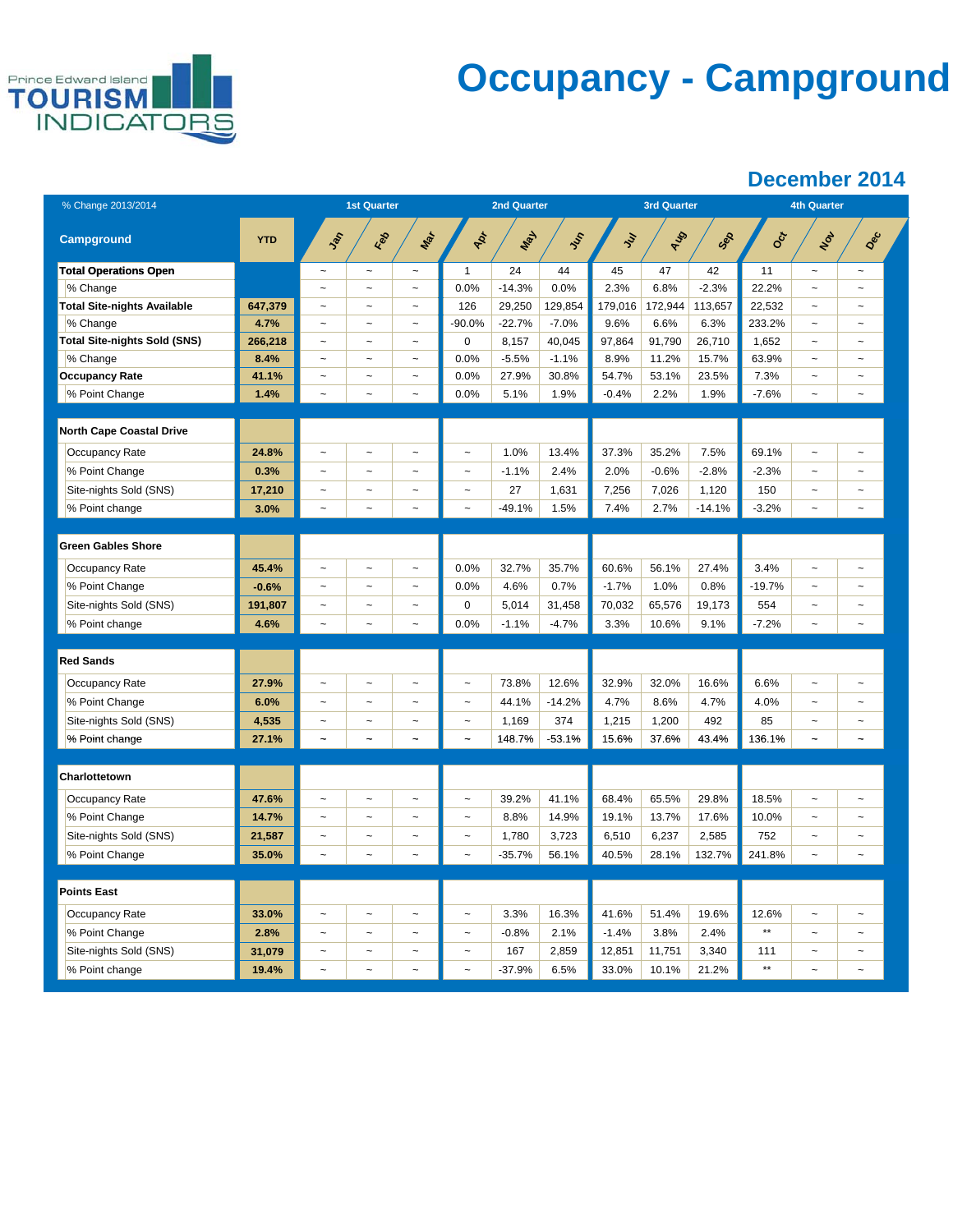

# **Occupancy - Campground**

| % Change 2013/2014                  |            | <b>1st Quarter</b>        |                          |                           |                                 | <b>2nd Quarter</b> |          |         | <b>3rd Quarter</b> |          | <b>4th Quarter</b> |                           |                       |  |
|-------------------------------------|------------|---------------------------|--------------------------|---------------------------|---------------------------------|--------------------|----------|---------|--------------------|----------|--------------------|---------------------------|-----------------------|--|
| <b>Campground</b>                   | <b>YTD</b> | Jan                       | Feb                      | Mar                       | $\boldsymbol{\dot{\mathrm{z}}}$ | New                | Jun      | $\zeta$ | AUG                | Sep      | Oct                | Not                       | Dec                   |  |
| <b>Total Operations Open</b>        |            | $\sim$                    | $\overline{\phantom{a}}$ | $\sim$                    | $\mathbf{1}$                    | 24                 | 44       | 45      | 47                 | 42       | 11                 | $\sim$                    | $\sim$                |  |
| % Change                            |            | $\sim$                    | $\sim$                   | $\tilde{\phantom{a}}$     | 0.0%                            | $-14.3%$           | 0.0%     | 2.3%    | 6.8%               | $-2.3%$  | 22.2%              | $\sim$                    | $\sim$                |  |
| <b>Total Site-nights Available</b>  | 647,379    | $\tilde{\phantom{a}}$     | $\tilde{}$               | $\tilde{\phantom{a}}$     | 126                             | 29,250             | 129,854  | 179,016 | 172,944            | 113,657  | 22,532             | $\tilde{}$                | $\tilde{\phantom{a}}$ |  |
| % Change                            | 4.7%       | $\overline{\phantom{a}}$  | $\ddot{\phantom{1}}$     | $\tilde{}$                | $-90.0%$                        | $-22.7%$           | $-7.0%$  | 9.6%    | 6.6%               | 6.3%     | 233.2%             | $\sim$                    | $\sim$                |  |
| <b>Total Site-nights Sold (SNS)</b> | 266,218    | $\sim$                    | $\sim$                   | $\sim$                    | 0                               | 8,157              | 40,045   | 97,864  | 91,790             | 26,710   | 1,652              | $\sim$                    | $\sim$                |  |
| % Change                            | 8.4%       | $\tilde{}$                | $\tilde{}$               | $\tilde{}$                | 0.0%                            | $-5.5%$            | $-1.1%$  | 8.9%    | 11.2%              | 15.7%    | 63.9%              | $\tilde{}$                | $\tilde{\phantom{a}}$ |  |
| <b>Occupancy Rate</b>               | 41.1%      | $\ddot{\phantom{0}}$      | $\ddot{\phantom{0}}$     | $\sim$                    | 0.0%                            | 27.9%              | 30.8%    | 54.7%   | 53.1%              | 23.5%    | 7.3%               | $\sim$                    |                       |  |
| % Point Change                      | 1.4%       | $\sim$                    | $\sim$                   | $\sim$                    | 0.0%                            | 5.1%               | 1.9%     | $-0.4%$ | 2.2%               | 1.9%     | $-7.6%$            | $\sim$                    | $\sim$                |  |
|                                     |            |                           |                          |                           |                                 |                    |          |         |                    |          |                    |                           |                       |  |
| <b>North Cape Coastal Drive</b>     |            |                           |                          |                           |                                 |                    |          |         |                    |          |                    |                           |                       |  |
| Occupancy Rate                      | 24.8%      | $\tilde{}$                | $\overline{ }$           | $\tilde{}$                | $\sim$                          | 1.0%               | 13.4%    | 37.3%   | 35.2%              | 7.5%     | 69.1%              | $\tilde{}$                | $\tilde{}$            |  |
| % Point Change                      | 0.3%       | $\sim$                    | $\sim$                   | $\sim$                    | $\sim$                          | $-1.1%$            | 2.4%     | 2.0%    | $-0.6%$            | $-2.8%$  | $-2.3%$            | $\sim$                    | $\sim$                |  |
| Site-nights Sold (SNS)              | 17,210     | $\sim$                    | $\tilde{ }$              | $\tilde{\phantom{a}}$     | $\ddot{\phantom{1}}$            | 27                 | 1,631    | 7,256   | 7,026              | 1,120    | 150                | $\sim$                    | $\sim$                |  |
| % Point change                      | 3.0%       | $\ddot{\phantom{0}}$      | $\ddot{\phantom{1}}$     | $\tilde{\phantom{a}}$     | $\ddot{\phantom{1}}$            | $-49.1%$           | 1.5%     | 7.4%    | 2.7%               | $-14.1%$ | $-3.2%$            | $\widetilde{\phantom{m}}$ | $\sim$                |  |
|                                     |            |                           |                          |                           |                                 |                    |          |         |                    |          |                    |                           |                       |  |
| <b>Green Gables Shore</b>           |            |                           |                          |                           |                                 |                    |          |         |                    |          |                    |                           |                       |  |
| Occupancy Rate                      | 45.4%      | $\ddot{\phantom{0}}$      | $\sim$                   | $\sim$                    | 0.0%                            | 32.7%              | 35.7%    | 60.6%   | 56.1%              | 27.4%    | 3.4%               | $\ddot{\phantom{0}}$      | $\sim$                |  |
| % Point Change                      | $-0.6%$    | $\tilde{\phantom{a}}$     | $\sim$                   | $\tilde{\phantom{a}}$     | 0.0%                            | 4.6%               | 0.7%     | $-1.7%$ | 1.0%               | 0.8%     | $-19.7%$           | $\sim$                    | $\tilde{\phantom{a}}$ |  |
| Site-nights Sold (SNS)              | 191,807    | $\ddot{\phantom{0}}$      | $\sim$                   | $\tilde{\phantom{a}}$     | 0                               | 5,014              | 31,458   | 70,032  | 65,576             | 19,173   | 554                | $\ddot{\phantom{0}}$      | $\sim$                |  |
| % Point change                      | 4.6%       | $\sim$                    | $\overline{\phantom{a}}$ | $\sim$                    | 0.0%                            | $-1.1%$            | $-4.7%$  | 3.3%    | 10.6%              | 9.1%     | $-7.2%$            | $\sim$                    | $\tilde{\phantom{a}}$ |  |
|                                     |            |                           |                          |                           |                                 |                    |          |         |                    |          |                    |                           |                       |  |
| Red Sands                           |            |                           |                          |                           |                                 |                    |          |         |                    |          |                    |                           |                       |  |
| Occupancy Rate                      | 27.9%      | $\widetilde{\phantom{m}}$ | $\ddot{\phantom{1}}$     | $\widetilde{\phantom{m}}$ | $\widetilde{\phantom{m}}$       | 73.8%              | 12.6%    | 32.9%   | 32.0%              | 16.6%    | 6.6%               | $\widetilde{\phantom{m}}$ | $\sim$                |  |
| % Point Change                      | 6.0%       | $\tilde{}$                | $\overline{ }$           | $\tilde{}$                | $\tilde{\phantom{a}}$           | 44.1%              | $-14.2%$ | 4.7%    | 8.6%               | 4.7%     | 4.0%               | $\overline{a}$            | $\sim$                |  |
| Site-nights Sold (SNS)              | 4,535      | $\overline{\phantom{a}}$  | $\ddot{\phantom{1}}$     | $\tilde{}$                | $\tilde{\phantom{a}}$           | 1,169              | 374      | 1,215   | 1,200              | 492      | 85                 | $\ddot{ }$                |                       |  |
| % Point change                      | 27.1%      | $\widetilde{\phantom{m}}$ | $\ddot{\phantom{0}}$     | $\tilde{\phantom{a}}$     | $\tilde{}$                      | 148.7%             | $-53.1%$ | 15.6%   | 37.6%              | 43.4%    | 136.1%             | $\tilde{}$                | $\sim$                |  |
|                                     |            |                           |                          |                           |                                 |                    |          |         |                    |          |                    |                           |                       |  |
| Charlottetown                       |            |                           |                          |                           |                                 |                    |          |         |                    |          |                    |                           |                       |  |
| Occupancy Rate                      | 47.6%      | $\sim$                    | $\sim$                   | $\tilde{\phantom{a}}$     | $\tilde{ }$                     | 39.2%              | 41.1%    | 68.4%   | 65.5%              | 29.8%    | 18.5%              | $\sim$                    | $\sim$                |  |
| % Point Change                      | 14.7%      | $\sim$                    | $\ddot{ }$               | $\sim$                    | $\sim$                          | 8.8%               | 14.9%    | 19.1%   | 13.7%              | 17.6%    | 10.0%              | $\sim$                    |                       |  |
| Site-nights Sold (SNS)              | 21,587     | $\tilde{\phantom{a}}$     | $\tilde{}$               | $\widetilde{\phantom{m}}$ | $\tilde{}$                      | 1,780              | 3,723    | 6,510   | 6,237              | 2,585    | 752                | $\tilde{\phantom{a}}$     | $\tilde{\phantom{a}}$ |  |
| % Point Change                      | 35.0%      | $\sim$                    | $\sim$                   | $\tilde{\phantom{a}}$     |                                 | $-35.7%$           | 56.1%    | 40.5%   | 28.1%              | 132.7%   | 241.8%             | $\tilde{\phantom{a}}$     |                       |  |
|                                     |            |                           |                          |                           |                                 |                    |          |         |                    |          |                    |                           |                       |  |
| <b>Points East</b>                  |            |                           |                          |                           |                                 |                    |          |         |                    |          |                    |                           |                       |  |
| Occupancy Rate                      | 33.0%      |                           | $\overline{ }$           | $\tilde{}$                | $\tilde{\phantom{a}}$           | 3.3%               | 16.3%    | 41.6%   | 51.4%              | 19.6%    | 12.6%              | $\overline{a}$            |                       |  |
| % Point Change                      | 2.8%       | $\widetilde{\phantom{m}}$ | $\ddot{\phantom{0}}$     | $\widetilde{\phantom{m}}$ | $\overline{\phantom{a}}$        | $-0.8%$            | 2.1%     | $-1.4%$ | 3.8%               | 2.4%     | $\star\star$       | $\sim$                    | $\ddot{\phantom{0}}$  |  |
| Site-nights Sold (SNS)              | 31,079     | $\ddot{\phantom{0}}$      | $\ddot{\phantom{1}}$     | $\tilde{\phantom{a}}$     | $\tilde{}$                      | 167                | 2,859    | 12,851  | 11,751             | 3,340    | 111                | $\sim$                    |                       |  |
| % Point change                      | 19.4%      |                           |                          |                           |                                 | $-37.9%$           | 6.5%     | 33.0%   | 10.1%              | 21.2%    | $***$              | $\ddot{ }$                |                       |  |
|                                     |            |                           |                          |                           |                                 |                    |          |         |                    |          |                    |                           |                       |  |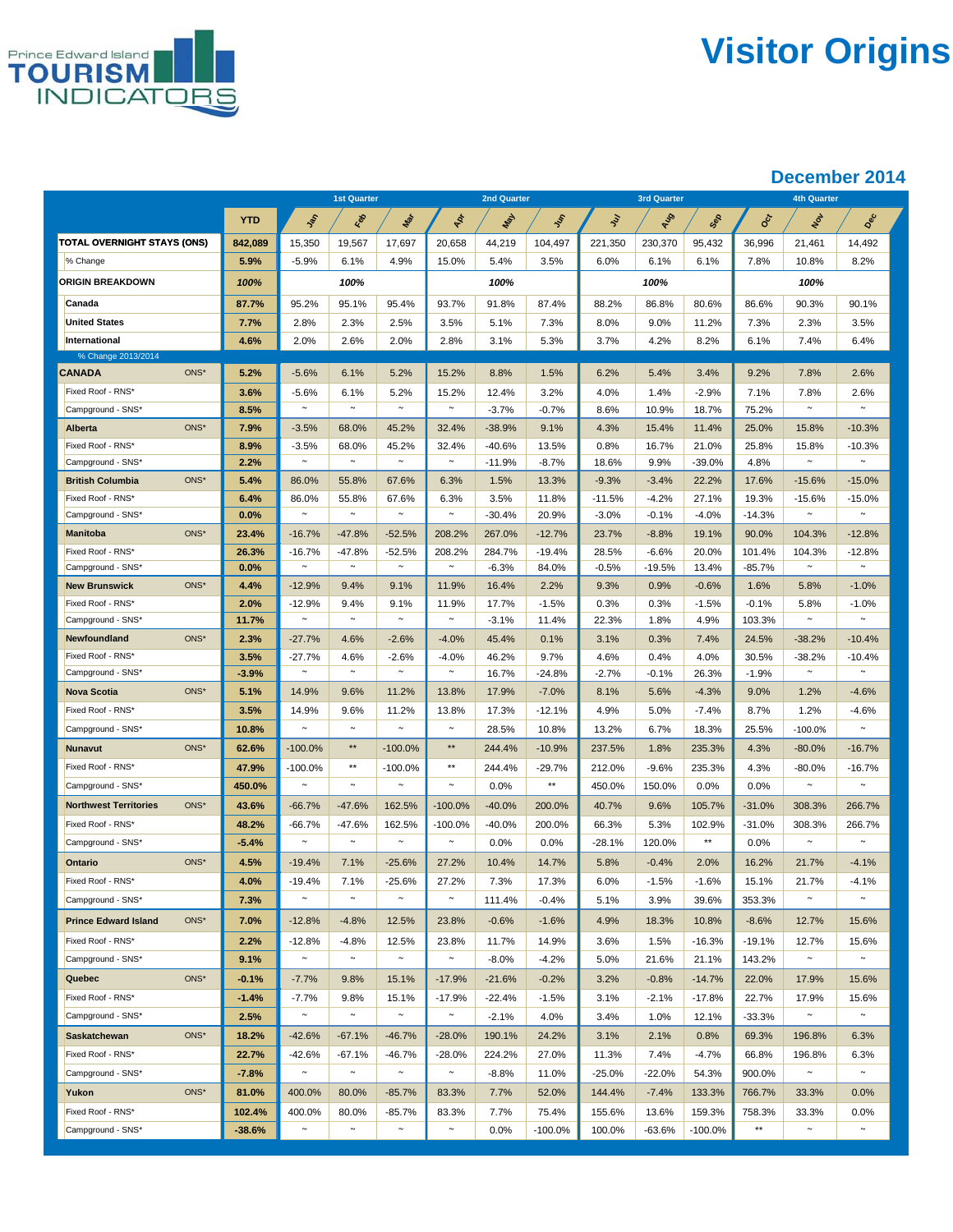

# **Visitor Origins**

|                                        |              | <b>1st Quarter</b> |                 | <b>2nd Quarter</b> |                              |                  |                | <b>3rd Quarter</b>  |                  | <b>4th Quarter</b> |                   |                    |                    |
|----------------------------------------|--------------|--------------------|-----------------|--------------------|------------------------------|------------------|----------------|---------------------|------------------|--------------------|-------------------|--------------------|--------------------|
|                                        | <b>YTD</b>   | Jan                | i d             | Mar                | $\boldsymbol{\dot{\varphi}}$ | Max              | $\sqrt{s}$     | 氵                   | AUS              | Sep                | ०ँ                | Non                | Dec                |
| TOTAL OVERNIGHT STAYS (ONS)            | 842,089      | 15,350             | 19,567          | 17,697             | 20,658                       | 44,219           | 104,497        | 221,350             | 230,370          | 95,432             | 36,996            | 21,461             | 14,492             |
| % Change                               | 5.9%         | $-5.9%$            | 6.1%            | 4.9%               | 15.0%                        | 5.4%             | 3.5%           | 6.0%                | 6.1%             | 6.1%               | 7.8%              | 10.8%              | 8.2%               |
| <b>ORIGIN BREAKDOWN</b>                | 100%         |                    | 100%            |                    |                              | 100%             |                |                     | 100%             |                    |                   | 100%               |                    |
| Canada                                 | 87.7%        | 95.2%              | 95.1%           | 95.4%              | 93.7%                        | 91.8%            | 87.4%          | 88.2%               | 86.8%            | 80.6%              | 86.6%             | 90.3%              | 90.1%              |
| <b>United States</b>                   | 7.7%         | 2.8%               | 2.3%            | 2.5%               | 3.5%                         | 5.1%             | 7.3%           | 8.0%                | 9.0%             | 11.2%              | 7.3%              | 2.3%               | 3.5%               |
| International                          | 4.6%         | 2.0%               | 2.6%            | 2.0%               | 2.8%                         | 3.1%             | 5.3%           | 3.7%                | 4.2%             | 8.2%               | 6.1%              | 7.4%               | 6.4%               |
| % Change 2013/2014                     |              |                    |                 |                    |                              |                  |                |                     |                  |                    |                   |                    |                    |
| <b>CANADA</b><br>ONS*                  | 5.2%         | $-5.6%$            | 6.1%            | 5.2%               | 15.2%                        | 8.8%             | 1.5%           | 6.2%                | 5.4%             | 3.4%               | 9.2%              | 7.8%               | 2.6%               |
| Fixed Roof - RNS*                      | 3.6%         | $-5.6%$            | 6.1%            | 5.2%               | 15.2%                        | 12.4%            | 3.2%           | 4.0%                | 1.4%             | $-2.9%$            | 7.1%              | 7.8%               | 2.6%               |
| Campground - SNS*                      | 8.5%         | $\sim$             | $\sim$          | $\sim$             | $\sim$                       | $-3.7%$          | $-0.7%$        | 8.6%                | 10.9%            | 18.7%              | 75.2%             | $\sim$             |                    |
| ONS*<br>Alberta                        | 7.9%         | $-3.5%$            | 68.0%           | 45.2%              | 32.4%                        | $-38.9%$         | 9.1%           | 4.3%                | 15.4%            | 11.4%              | 25.0%             | 15.8%              | $-10.3%$           |
| Fixed Roof - RNS*                      | 8.9%         | $-3.5%$            | 68.0%           | 45.2%<br>$\sim$    | 32.4%<br>$\sim$              | $-40.6%$         | 13.5%          | 0.8%                | 16.7%            | 21.0%              | 25.8%             | 15.8%<br>$\sim$    | $-10.3%$<br>$\sim$ |
| Campground - SNS*                      | 2.2%         | $\sim$             | $\sim$          |                    |                              | $-11.9%$         | $-8.7%$        | 18.6%               | 9.9%             | $-39.0%$           | 4.8%              |                    |                    |
| ONS*<br><b>British Columbia</b>        | 5.4%         | 86.0%              | 55.8%           | 67.6%              | 6.3%                         | 1.5%             | 13.3%          | $-9.3%$             | $-3.4%$          | 22.2%              | 17.6%             | $-15.6%$           | $-15.0%$           |
| Fixed Roof - RNS*<br>Campground - SNS* | 6.4%<br>0.0% | 86.0%<br>$\sim$    | 55.8%<br>$\sim$ | 67.6%<br>$\sim$    | 6.3%<br>$\sim$               | 3.5%<br>$-30.4%$ | 11.8%<br>20.9% | $-11.5%$<br>$-3.0%$ | -4.2%<br>$-0.1%$ | 27.1%<br>$-4.0%$   | 19.3%<br>$-14.3%$ | $-15.6%$<br>$\sim$ | $-15.0%$<br>$\sim$ |
| ONS*<br><b>Manitoba</b>                | 23.4%        | $-16.7%$           | $-47.8%$        | $-52.5%$           | 208.2%                       | 267.0%           | $-12.7%$       | 23.7%               | $-8.8%$          | 19.1%              | 90.0%             | 104.3%             | $-12.8%$           |
| Fixed Roof - RNS*                      | 26.3%        | $-16.7%$           | $-47.8%$        | $-52.5%$           | 208.2%                       | 284.7%           | $-19.4%$       | 28.5%               | $-6.6%$          | 20.0%              | 101.4%            | 104.3%             | $-12.8%$           |
| Campground - SNS*                      | 0.0%         | $\sim$             | $\sim$          | $\sim$             | $\sim$                       | $-6.3%$          | 84.0%          | $-0.5%$             | $-19.5%$         | 13.4%              | $-85.7%$          | $\sim$             | $\sim$             |
| ONS*<br><b>New Brunswick</b>           | 4.4%         | $-12.9%$           | 9.4%            | 9.1%               | 11.9%                        | 16.4%            | 2.2%           | 9.3%                | 0.9%             | $-0.6%$            | 1.6%              | 5.8%               | $-1.0%$            |
| Fixed Roof - RNS*                      | 2.0%         | $-12.9%$           | 9.4%            | 9.1%               | 11.9%                        | 17.7%            | $-1.5%$        | 0.3%                | 0.3%             | $-1.5%$            | $-0.1%$           | 5.8%               | $-1.0%$            |
| Campground - SNS*                      | 11.7%        | $\sim$             | $\sim$          | $\sim$             | $\sim$                       | $-3.1%$          | 11.4%          | 22.3%               | 1.8%             | 4.9%               | 103.3%            | $\sim$             | $\sim$             |
| ONS*<br>Newfoundland                   | 2.3%         | $-27.7%$           | 4.6%            | $-2.6%$            | $-4.0%$                      | 45.4%            | 0.1%           | 3.1%                | 0.3%             | 7.4%               | 24.5%             | $-38.2%$           | $-10.4%$           |
| Fixed Roof - RNS*                      | 3.5%         | $-27.7\%$          | 4.6%            | $-2.6%$            | $-4.0%$                      | 46.2%            | 9.7%           | 4.6%                | 0.4%             | 4.0%               | 30.5%             | $-38.2%$           | $-10.4%$           |
| Campground - SNS*                      | $-3.9%$      | $\sim$             | $\sim$          | $\sim$             | $\sim$                       | 16.7%            | $-24.8%$       | $-2.7%$             | -0.1%            | 26.3%              | $-1.9%$           | $\sim$             | $\sim$             |
| ONS*<br><b>Nova Scotia</b>             | 5.1%         | 14.9%              | 9.6%            | 11.2%              | 13.8%                        | 17.9%            | $-7.0%$        | 8.1%                | 5.6%             | $-4.3%$            | 9.0%              | 1.2%               | $-4.6%$            |
| Fixed Roof - RNS*                      | 3.5%         | 14.9%              | 9.6%            | 11.2%              | 13.8%                        | 17.3%            | $-12.1%$       | 4.9%                | 5.0%             | $-7.4%$            | 8.7%              | 1.2%               | $-4.6%$            |
| Campground - SNS*                      | 10.8%        | $\sim$             | $\sim$          | $\sim$             | $\sim$                       | 28.5%            | 10.8%          | 13.2%               | 6.7%             | 18.3%              | 25.5%             | $-100.0%$          | $\sim$             |
| ONS*<br><b>Nunavut</b>                 | 62.6%        | $-100.0\%$         | $\star\star$    | $-100.0%$          | $\star\star$                 | 244.4%           | $-10.9%$       | 237.5%              | 1.8%             | 235.3%             | 4.3%              | $-80.0%$           | $-16.7%$           |
| Fixed Roof - RNS*                      | 47.9%        | -100.0%            | $**$            | $-100.0\%$         | $**$                         | 244.4%           | $-29.7%$       | 212.0%              | $-9.6%$          | 235.3%             | 4.3%              | $-80.0%$           | $-16.7%$           |
| Campground - SNS*                      | 450.0%       | $\sim$             | $\sim$          | $\sim$             | $\sim$                       | 0.0%             | $\star\star$   | 450.0%              | 150.0%           | 0.0%               | 0.0%              | $\sim$             | $\sim$             |
| ONS*<br><b>Northwest Territories</b>   | 43.6%        | -66.7%             | $-47.6%$        | 162.5%             | $-100.0%$                    | $-40.0%$         | 200.0%         | 40.7%               | 9.6%             | 105.7%             | $-31.0%$          | 308.3%             | 266.7%             |
| Fixed Roof - RNS*                      | 48.2%        | $-66.7%$           | $-47.6%$        | 162.5%             | -100.0%                      | $-40.0%$         | 200.0%         | 66.3%               | 5.3%             | 102.9%             | $-31.0%$          | 308.3%             | 266.7%             |
| Campground - SNS*                      | $-5.4%$      | $\sim$             | $\sim$          | $\sim$             | $\sim$                       | 0.0%             | 0.0%           | $-28.1%$            | 120.0%           | $\star\star$       | 0.0%              | $\sim$             | $\sim$             |
| ONS*<br>Ontario                        | 4.5%         | $-19.4%$           | 7.1%            | $-25.6%$           | 27.2%                        | 10.4%            | 14.7%          | 5.8%                | $-0.4%$          | 2.0%               | 16.2%             | 21.7%              | $-4.1%$            |
| Fixed Roof - RNS*                      | 4.0%         | $-19.4%$           | 7.1%            | $-25.6%$           | 27.2%                        | 7.3%             | 17.3%          | 6.0%                | $-1.5%$          | $-1.6%$            | 15.1%             | 21.7%              | $-4.1%$            |
| Campground - SNS*                      | 7.3%         | $\sim$             | $\sim$          | $\sim$             | $\sim$                       | 111.4%           | $-0.4%$        | 5.1%                | 3.9%             | 39.6%              | 353.3%            | $\sim$             | $\sim$             |
| $ONS^*$<br><b>Prince Edward Island</b> | 7.0%         | $-12.8%$           | $-4.8%$         | 12.5%              | 23.8%                        | $-0.6%$          | $-1.6%$        | 4.9%                | 18.3%            | 10.8%              | $-8.6%$           | 12.7%              | 15.6%              |
| Fixed Roof - RNS*                      | 2.2%         | $-12.8%$           | $-4.8%$         | 12.5%              | 23.8%                        | 11.7%            | 14.9%          | 3.6%                | 1.5%             | $-16.3%$           | $-19.1%$          | 12.7%              | 15.6%              |
| Campground - SNS*                      | 9.1%         | $\sim$             | $\sim$          | $\sim$             | $\sim$                       | $-8.0%$          | $-4.2%$        | 5.0%                | 21.6%            | 21.1%              | 143.2%            | $\sim$             | $\sim$             |
| $ONS^*$<br>Quebec                      | $-0.1%$      | $-7.7%$            | 9.8%            | 15.1%              | $-17.9%$                     | $-21.6%$         | $-0.2%$        | 3.2%                | $-0.8%$          | $-14.7%$           | 22.0%             | 17.9%              | 15.6%              |
| Fixed Roof - RNS*                      | $-1.4%$      | $-7.7%$            | 9.8%            | 15.1%              | $-17.9%$                     | $-22.4%$         | $-1.5%$        | 3.1%                | -2.1%            | $-17.8%$           | 22.7%             | 17.9%              | 15.6%              |
| Campground - SNS*                      | 2.5%         | $\sim$             | $\sim$          | $\sim$             | $\sim$                       | $-2.1%$          | 4.0%           | 3.4%                | 1.0%             | 12.1%              | $-33.3%$          | $\sim$             |                    |
| ONS*<br><b>Saskatchewan</b>            | 18.2%        | $-42.6%$           | $-67.1%$        | $-46.7%$           | $-28.0%$                     | 190.1%           | 24.2%          | 3.1%                | 2.1%             | 0.8%               | 69.3%             | 196.8%             | 6.3%               |
| Fixed Roof - RNS*                      | 22.7%        | $-42.6%$           | $-67.1%$        | $-46.7%$           | $-28.0%$                     | 224.2%           | 27.0%          | 11.3%               | 7.4%             | $-4.7%$            | 66.8%             | 196.8%             | 6.3%               |
| Campground - SNS*                      | $-7.8%$      | $\sim$             | $\sim$          | $\sim$             | $\sim$                       | $-8.8%$          | 11.0%          | $-25.0%$            | $-22.0%$         | 54.3%              | 900.0%            | $\sim$             | $\sim$             |
| ONS*<br>Yukon                          | 81.0%        | 400.0%             | 80.0%           | $-85.7%$           | 83.3%                        | 7.7%             | 52.0%          | 144.4%              | $-7.4%$          | 133.3%             | 766.7%            | 33.3%              | 0.0%               |
| Fixed Roof - RNS*                      | 102.4%       | 400.0%             | 80.0%           | $-85.7%$           | 83.3%                        | 7.7%             | 75.4%          | 155.6%              | 13.6%            | 159.3%             | 758.3%            | 33.3%              | 0.0%               |
| Campground - SNS*                      | $-38.6%$     | $\sim$             | $\sim$          | $\sim$             | $\sim$                       | 0.0%             | $-100.0%$      | 100.0%              | $-63.6%$         | $-100.0%$          | $\star\star$      | $\sim$             | $\sim$             |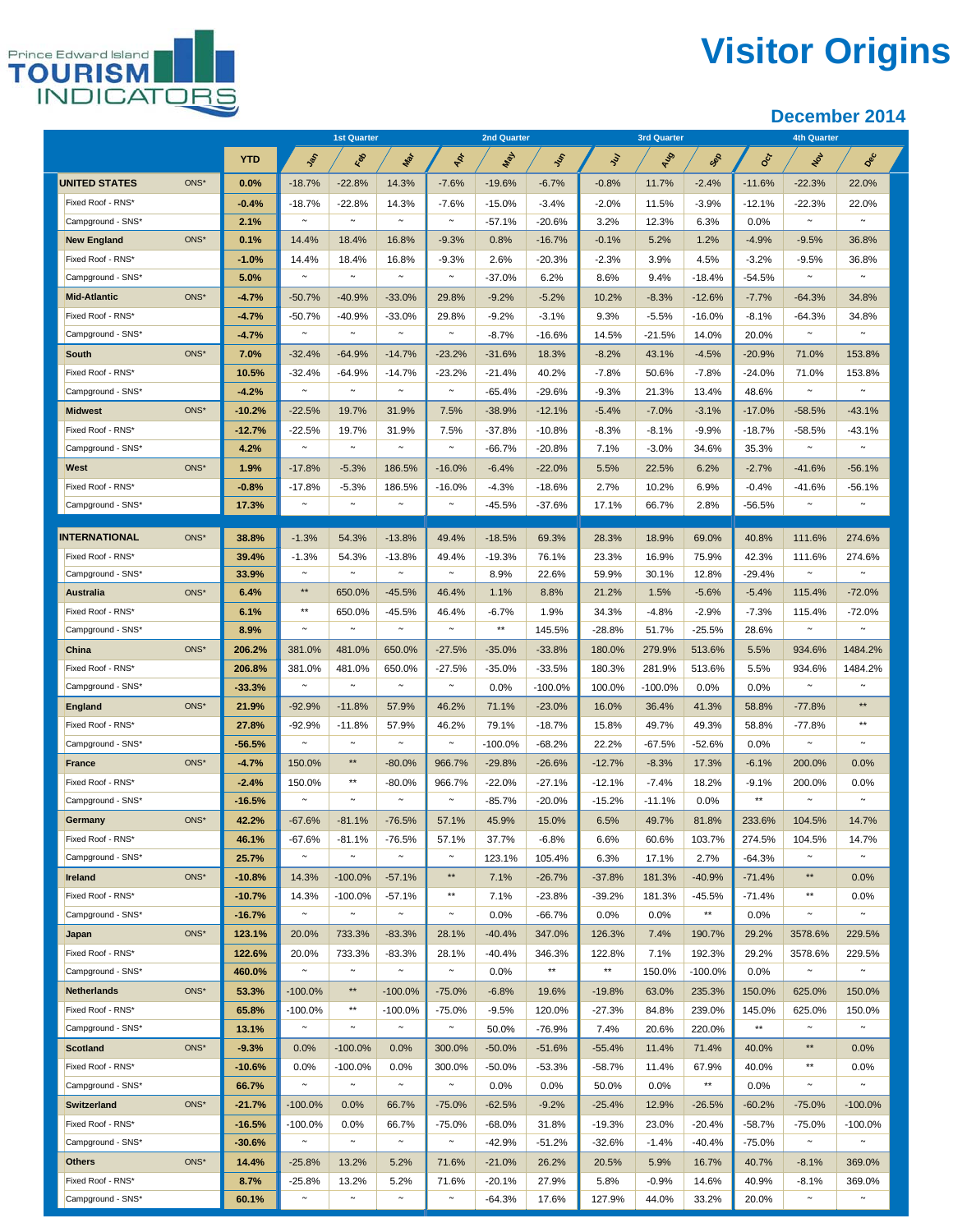## **Visitor Origins**



|                      |         |            | <b>1st Quarter</b>    |                       |                      | <b>2nd Quarter</b> |                      |                |                | <b>3rd Quarter</b> |                | <b>4th Quarter</b>        |              |                  |  |
|----------------------|---------|------------|-----------------------|-----------------------|----------------------|--------------------|----------------------|----------------|----------------|--------------------|----------------|---------------------------|--------------|------------------|--|
|                      |         | <b>YTD</b> | Jan                   | Feb                   | Mar                  | $4p_r$             | <b>May</b>           | $v_{\rm c}$    | ş              | Aug                | Sep            | $\mathbf{e}^{\mathbf{c}}$ | Nov          | Dec              |  |
| <b>UNITED STATES</b> | ONS*    | 0.0%       | $-18.7%$              | $-22.8%$              | 14.3%                | $-7.6%$            | $-19.6%$             | $-6.7%$        | $-0.8\%$       | 11.7%              | $-2.4%$        | $-11.6%$                  | $-22.3%$     | 22.0%            |  |
| Fixed Roof - RNS*    |         | $-0.4%$    | $-18.7%$              | $-22.8%$              | 14.3%                | $-7.6%$            | $-15.0%$             | $-3.4%$        | $-2.0%$        | 11.5%              | $-3.9%$        | $-12.1%$                  | $-22.3%$     | 22.0%            |  |
| Campground - SNS*    |         | 2.1%       | $\tilde{}$            | $\tilde{\phantom{a}}$ | $\tilde{}$           | $\sim$             | $-57.1%$             | $-20.6%$       | 3.2%           | 12.3%              | 6.3%           | 0.0%                      | $\sim$       | $\sim$           |  |
| <b>New England</b>   | ONS*    | 0.1%       | 14.4%                 | 18.4%                 | 16.8%                | $-9.3%$            | 0.8%                 | $-16.7%$       | $-0.1%$        | 5.2%               | 1.2%           | $-4.9%$                   | $-9.5%$      | 36.8%            |  |
| Fixed Roof - RNS*    |         | $-1.0%$    | 14.4%                 | 18.4%                 | 16.8%                | $-9.3%$            | 2.6%                 | $-20.3%$       | $-2.3%$        | 3.9%               | 4.5%           | $-3.2%$                   | $-9.5%$      | 36.8%            |  |
| Campground - SNS*    |         | 5.0%       | $\sim$                | $\sim$                | $\sim$               | $\sim$             | $-37.0%$             | 6.2%           | 8.6%           | 9.4%               | $-18.4%$       | $-54.5%$                  | $\sim$       | $\sim$           |  |
| <b>Mid-Atlantic</b>  | ONS*    | -4.7%      | $-50.7%$              | $-40.9%$              | $-33.0%$             | 29.8%              | $-9.2%$              | $-5.2%$        | 10.2%          | $-8.3%$            | $-12.6%$       | $-7.7%$                   | $-64.3%$     | 34.8%            |  |
| Fixed Roof - RNS*    |         | $-4.7%$    | $-50.7%$              | $-40.9%$              | $-33.0%$             | 29.8%              | $-9.2%$              | $-3.1%$        | 9.3%           | $-5.5%$            | $-16.0%$       | $-8.1%$                   | $-64.3%$     | 34.8%            |  |
| Campground - SNS*    |         | $-4.7%$    | $\tilde{}$            | $\sim$                | $\sim$               | $\sim$             | $-8.7%$              | $-16.6%$       | 14.5%          | $-21.5%$           | 14.0%          | 20.0%                     | $\sim$       |                  |  |
| <b>South</b>         | ONS*    | 7.0%       | $-32.4%$              | $-64.9%$              | $-14.7%$             | $-23.2%$           | $-31.6%$             | 18.3%          | $-8.2%$        | 43.1%              | $-4.5%$        | $-20.9%$                  | 71.0%        | 153.8%           |  |
| Fixed Roof - RNS*    |         | 10.5%      | $-32.4%$              | $-64.9%$              | $-14.7%$             | $-23.2%$           | $-21.4%$             | 40.2%          | $-7.8%$        | 50.6%              | $-7.8%$        | $-24.0%$                  | 71.0%        | 153.8%           |  |
| Campground - SNS*    |         | $-4.2%$    | $\sim$                | $\sim$                | $\tilde{}$           | $\sim$             | $-65.4%$             | $-29.6%$       | $-9.3%$        | 21.3%              | 13.4%          | 48.6%                     | $\sim$       | $\sim$           |  |
| <b>Midwest</b>       | ONS*    | $-10.2%$   | $-22.5%$              | 19.7%                 | 31.9%                | 7.5%               | $-38.9%$             | $-12.1%$       | $-5.4%$        | $-7.0%$            | $-3.1%$        | $-17.0%$                  | $-58.5%$     | $-43.1%$         |  |
| Fixed Roof - RNS*    |         | $-12.7%$   | $-22.5%$              | 19.7%                 | 31.9%                | 7.5%               | -37.8%               | $-10.8%$       | $-8.3%$        | $-8.1%$            | $-9.9%$        | -18.7%                    | $-58.5%$     | $-43.1%$         |  |
| Campground - SNS*    |         | 4.2%       | $\sim$                | $\sim$                | $\sim$               | $\sim$             | $-66.7%$             | $-20.8%$       | 7.1%           | $-3.0%$            | 34.6%          | 35.3%                     | $\sim$       | $\sim$           |  |
| West                 | ONS*    | 1.9%       | $-17.8%$              | $-5.3%$               | 186.5%               | $-16.0%$           | $-6.4%$              | $-22.0%$       | 5.5%           | 22.5%              | 6.2%           | $-2.7%$                   | $-41.6%$     | $-56.1%$         |  |
| Fixed Roof - RNS*    |         | $-0.8%$    | $-17.8%$              | $-5.3%$               | 186.5%               | $-16.0%$           | $-4.3%$              | $-18.6%$       | 2.7%           | 10.2%              | 6.9%           | $-0.4%$                   | $-41.6%$     | $-56.1%$         |  |
| Campground - SNS*    |         | 17.3%      | $\tilde{}$            | $\sim$                | $\sim$               | $\sim$             | $-45.5%$             | $-37.6%$       | 17.1%          | 66.7%              | 2.8%           | $-56.5%$                  | $\sim$       | $\sim$           |  |
| <b>INTERNATIONAL</b> | ONS*    | 38.8%      | $-1.3%$               |                       |                      | 49.4%              |                      |                |                |                    |                |                           | 111.6%       |                  |  |
| Fixed Roof - RNS*    |         | 39.4%      | $-1.3%$               | 54.3%<br>54.3%        | $-13.8%$<br>$-13.8%$ | 49.4%              | $-18.5%$<br>$-19.3%$ | 69.3%<br>76.1% | 28.3%<br>23.3% | 18.9%<br>16.9%     | 69.0%<br>75.9% | 40.8%<br>42.3%            | 111.6%       | 274.6%<br>274.6% |  |
| Campground - SNS*    |         | 33.9%      | $\sim$                | $\sim$                | $\sim$               | $\sim$             | 8.9%                 | 22.6%          | 59.9%          | 30.1%              | 12.8%          | $-29.4%$                  | $\sim$       | $\sim$           |  |
| <b>Australia</b>     | ONS*    | 6.4%       | $**$                  | 650.0%                | $-45.5%$             | 46.4%              | 1.1%                 | 8.8%           | 21.2%          | 1.5%               | $-5.6%$        | $-5.4%$                   | 115.4%       | $-72.0%$         |  |
| Fixed Roof - RNS*    |         | 6.1%       | $\star\star$          | 650.0%                | $-45.5%$             | 46.4%              | $-6.7%$              | 1.9%           | 34.3%          | $-4.8%$            | $-2.9%$        | $-7.3%$                   | 115.4%       | $-72.0%$         |  |
| Campground - SNS*    |         | 8.9%       | $\tilde{\phantom{a}}$ | $\sim$                | $\sim$               | $\sim$             | $\star\star$         | 145.5%         | $-28.8%$       | 51.7%              | $-25.5%$       | 28.6%                     | $\sim$       | $\sim$           |  |
| China                | ONS*    | 206.2%     | 381.0%                | 481.0%                | 650.0%               | $-27.5%$           | $-35.0%$             | $-33.8%$       | 180.0%         | 279.9%             | 513.6%         | 5.5%                      | 934.6%       | 1484.2%          |  |
| Fixed Roof - RNS*    |         | 206.8%     | 381.0%                | 481.0%                | 650.0%               | $-27.5%$           | $-35.0%$             | $-33.5%$       | 180.3%         | 281.9%             | 513.6%         | 5.5%                      | 934.6%       | 1484.2%          |  |
| Campground - SNS*    |         | $-33.3%$   | $\sim$                | $\sim$                | $\sim$               | $\sim$             | 0.0%                 | -100.0%        | 100.0%         | $-100.0%$          | 0.0%           | 0.0%                      | $\sim$       | $\sim$           |  |
| <b>England</b>       | ONS*    | 21.9%      | $-92.9%$              | $-11.8%$              | 57.9%                | 46.2%              | 71.1%                | $-23.0%$       | 16.0%          | 36.4%              | 41.3%          | 58.8%                     | $-77.8%$     | $\star\star$     |  |
| Fixed Roof - RNS*    |         | 27.8%      | $-92.9%$              | $-11.8%$              | 57.9%                | 46.2%              | 79.1%                | $-18.7%$       | 15.8%          | 49.7%              | 49.3%          | 58.8%                     | $-77.8%$     | $**$             |  |
| Campground - SNS*    |         | $-56.5%$   | $\sim$                | $\sim$                | $\sim$               | $\sim$             | $-100.0%$            | $-68.2%$       | 22.2%          | $-67.5%$           | $-52.6%$       | 0.0%                      | $\sim$       | $\sim$           |  |
| <b>France</b>        | ONS*    | $-4.7%$    | 150.0%                | $**$                  | $-80.0%$             | 966.7%             | $-29.8%$             | $-26.6%$       | $-12.7%$       | $-8.3%$            | 17.3%          | $-6.1%$                   | 200.0%       | 0.0%             |  |
| Fixed Roof - RNS*    |         | $-2.4%$    | 150.0%                | $**$                  | $-80.0%$             | 966.7%             | $-22.0%$             | $-27.1%$       | $-12.1%$       | $-7.4%$            | 18.2%          | $-9.1%$                   | 200.0%       | 0.0%             |  |
| Campground - SNS*    |         | $-16.5%$   | $\tilde{}$            | $\sim$                | $\tilde{}$           | $\sim$             | $-85.7%$             | $-20.0%$       | $-15.2%$       | $-11.1%$           | 0.0%           | $**$                      | $\sim$       |                  |  |
| Germany              | ONS*    | 42.2%      | $-67.6%$              | $-81.1%$              | $-76.5%$             | 57.1%              | 45.9%                | 15.0%          | 6.5%           | 49.7%              | 81.8%          | 233.6%                    | 104.5%       | 14.7%            |  |
| Fixed Roof - RNS*    |         | 46.1%      | $-67.6%$              | $-81.1%$              | $-76.5%$             | 57.1%              | 37.7%                | $-6.8%$        | 6.6%           | 60.6%              | 103.7%         | 274.5%                    | 104.5%       | 14.7%            |  |
| Campground - SNS*    |         | 25.7%      | $\sim$                | $\sim$                | $\tilde{}$           | $\sim$             | 123.1%               | 105.4%         | 6.3%           | 17.1%              | 2.7%           | $-64.3%$                  | $\sim$       |                  |  |
| Ireland              | ONS*    | $-10.8%$   | 14.3%                 | $-100.0%$             | $-57.1%$             | $\star\star$       | 7.1%                 | $-26.7%$       | $-37.8%$       | 181.3%             | $-40.9%$       | $-71.4%$                  | $\star\star$ | 0.0%             |  |
| Fixed Roof - RNS*    |         | $-10.7%$   | 14.3%                 | $-100.0\%$            | $-57.1%$             | $\star\star$       | 7.1%                 | $-23.8%$       | $-39.2%$       | 181.3%             | $-45.5%$       | $-71.4%$                  | $**$         | 0.0%             |  |
| Campground - SNS*    |         | $-16.7%$   | $\sim$                | $\sim$                | $\sim$               | $\sim$             | 0.0%                 | $-66.7%$       | 0.0%           | 0.0%               | $\star\star$   | 0.0%                      | $\sim$       | $\sim$           |  |
| Japan                | ONS*    | 123.1%     | 20.0%                 | 733.3%                | $-83.3%$             | 28.1%              | $-40.4%$             | 347.0%         | 126.3%         | 7.4%               | 190.7%         | 29.2%                     | 3578.6%      | 229.5%           |  |
| Fixed Roof - RNS*    |         | 122.6%     | 20.0%                 | 733.3%                | $-83.3%$             | 28.1%              | $-40.4%$             | 346.3%         | 122.8%         | 7.1%               | 192.3%         | 29.2%                     | 3578.6%      | 229.5%           |  |
| Campground - SNS*    |         | 460.0%     | $\sim$                | $\sim$                | $\sim$               | $\sim$             | 0.0%                 | $\star\star$   | $\star\star$   | 150.0%             | $-100.0%$      | 0.0%                      | $\sim$       | $\sim$           |  |
| <b>Netherlands</b>   | ONS*    | 53.3%      | $-100.0%$             | $\star\star$          | $-100.0%$            | $-75.0%$           | $-6.8%$              | 19.6%          | $-19.8%$       | 63.0%              | 235.3%         | 150.0%                    | 625.0%       | 150.0%           |  |
| Fixed Roof - RNS*    |         | 65.8%      | $-100.0%$             | $\star\star$          | $-100.0%$            | $-75.0%$           | $-9.5%$              | 120.0%         | $-27.3%$       | 84.8%              | 239.0%         | 145.0%                    | 625.0%       | 150.0%           |  |
| Campground - SNS*    |         | 13.1%      | $\sim$                | $\sim$                | $\sim$               | $\sim$             | 50.0%                | $-76.9%$       | 7.4%           | 20.6%              | 220.0%         | $\star\star$              | $\sim$       | $\sim$           |  |
| <b>Scotland</b>      | $ONS^*$ | $-9.3%$    | 0.0%                  | $-100.0\%$            | 0.0%                 | 300.0%             | $-50.0%$             | $-51.6%$       | $-55.4%$       | 11.4%              | 71.4%          | 40.0%                     | $\star\star$ | 0.0%             |  |
| Fixed Roof - RNS*    |         | $-10.6%$   | 0.0%                  | $-100.0%$             | 0.0%                 | 300.0%             | $-50.0%$             | $-53.3%$       | $-58.7%$       | 11.4%              | 67.9%          | 40.0%                     | $\star\star$ | 0.0%             |  |
| Campground - SNS*    |         | 66.7%      | $\sim$                | $\sim$                | $\sim$               | $\sim$             | 0.0%                 | 0.0%           | 50.0%          | 0.0%               | $\star\star$   | 0.0%                      | $\sim$       |                  |  |
| <b>Switzerland</b>   | ONS*    | $-21.7%$   | $-100.0%$             | 0.0%                  | 66.7%                | $-75.0%$           | $-62.5%$             | $-9.2%$        | $-25.4%$       | 12.9%              | $-26.5%$       | $-60.2%$                  | $-75.0%$     | $-100.0\%$       |  |
| Fixed Roof - RNS*    |         | $-16.5%$   | $-100.0%$             | 0.0%                  | 66.7%                | $-75.0%$           | $-68.0%$             | 31.8%          | $-19.3%$       | 23.0%              | $-20.4%$       | $-58.7%$                  | $-75.0%$     | $-100.0%$        |  |
| Campground - SNS*    |         | $-30.6%$   | $\sim$                | $\sim$                | $\sim$               | $\sim$             | $-42.9%$             | $-51.2%$       | $-32.6%$       | $-1.4%$            | $-40.4%$       | $-75.0%$                  | $\sim$       | $\sim$           |  |
| <b>Others</b>        | ONS*    | 14.4%      | $-25.8%$              | 13.2%                 | 5.2%                 | 71.6%              | $-21.0%$             | 26.2%          | 20.5%          | 5.9%               | 16.7%          | 40.7%                     | $-8.1%$      | 369.0%           |  |
| Fixed Roof - RNS*    |         | 8.7%       | $-25.8%$              | 13.2%                 | 5.2%                 | 71.6%              | $-20.1%$             | 27.9%          | 5.8%           | $-0.9%$            | 14.6%          | 40.9%                     | $-8.1%$      | 369.0%           |  |
| Campground - SNS*    |         | 60.1%      | $\sim$                | $\sim$                | $\sim$               | $\sim$             | $-64.3%$             | 17.6%          | 127.9%         | 44.0%              | 33.2%          | 20.0%                     | $\sim$       | $\sim$           |  |